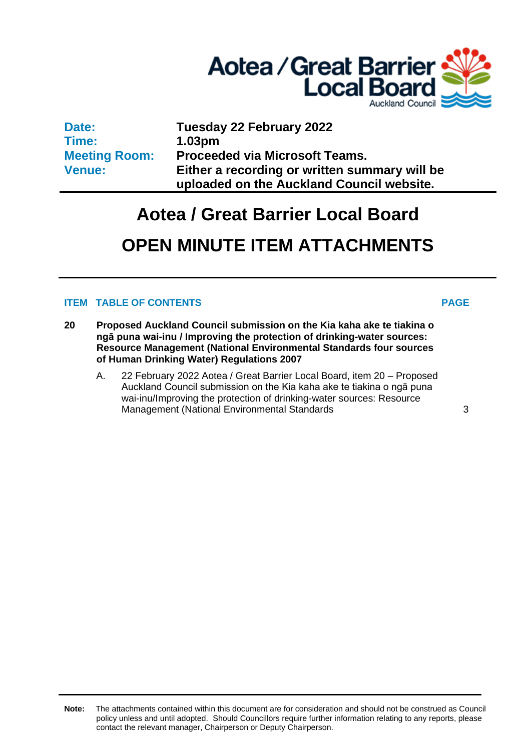

**Date: Time: Meeting Room: Venue:**

**Tuesday 22 February 2022 1.03pm Proceeded via Microsoft Teams. Either a recording or written summary will be uploaded on the Auckland Council website.**

# **Aotea / Great Barrier Local Board**

## **OPEN MINUTE ITEM ATTACHMENTS**

## **ITEM TABLE OF CONTENTS PAGE**

**20 Proposed Auckland Council submission on the Kia kaha ake te tiakina o ngā puna wai-inu / Improving the protection of drinking-water sources: Resource Management (National Environmental Standards four sources of Human Drinking Water) Regulations 2007** 

A. 22 February 2022 Aotea / Great Barrier Local Board, item 20 – Proposed Auckland Council submission on the Kia kaha ake te tiakina o ngā puna wai-inu/Improving the protection of drinking-water sources: Resource Management (National Environmental Standards [3](#page-2-0)

**Note:** The attachments contained within this document are for consideration and should not be construed as Council policy unless and until adopted. Should Councillors require further information relating to any reports, please contact the relevant manager, Chairperson or Deputy Chairperson.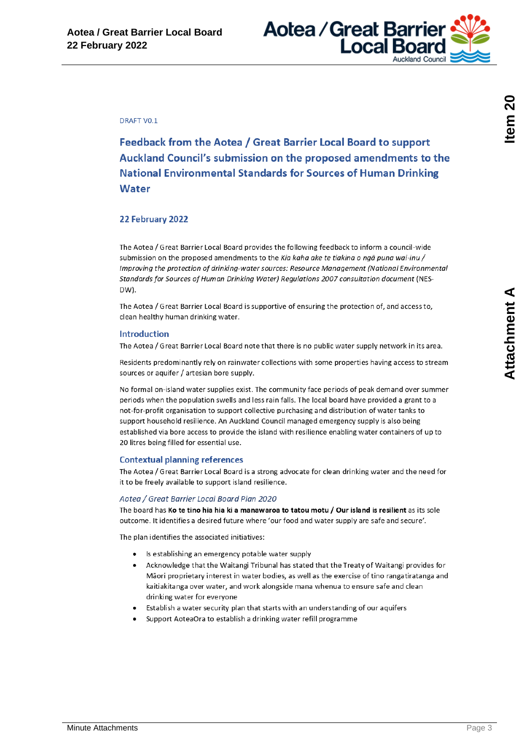

#### <span id="page-2-0"></span>**DRAFT VO.1**

Feedback from the Aotea / Great Barrier Local Board to support Auckland Council's submission on the proposed amendments to the **National Environmental Standards for Sources of Human Drinking Water** 

#### 22 February 2022

The Aotea / Great Barrier Local Board provides the following feedback to inform a council-wide submission on the proposed amendments to the Kia kaha ake te tiakina o nga puna wai-inu / Improving the protection of drinking-water sources: Resource Management (National Environmental Standards for Sources of Human Drinking Water) Regulations 2007 consultation document (NES-DW).

The Aotea / Great Barrier Local Board is supportive of ensuring the protection of, and access to, clean healthy human drinking water.

#### **Introduction**

The Aotea / Great Barrier Local Board note that there is no public water supply network in its area.

Residents predominantly rely on rainwater collections with some properties having access to stream sources or aquifer / artesian bore supply.

No formal on-island water supplies exist. The community face periods of peak demand over summer periods when the population swells and less rain falls. The local board have provided a grant to a not-for-profit organisation to support collective purchasing and distribution of water tanks to support household resilience. An Auckland Council managed emergency supply is also being established via bore access to provide the island with resilience enabling water containers of up to 20 litres being filled for essential use.

#### **Contextual planning references**

The Aotea / Great Barrier Local Board is a strong advocate for clean drinking water and the need for it to be freely available to support island resilience.

#### Aotea / Great Barrier Local Board Plan 2020

The board has Ko te tino hia hia ki a manawaroa to tatou motu / Our island is resilient as its sole outcome. It identifies a desired future where 'our food and water supply are safe and secure'.

The plan identifies the associated initiatives:

- Is establishing an emergency potable water supply
- Acknowledge that the Waitangi Tribunal has stated that the Treaty of Waitangi provides for Māori proprietary interest in water bodies, as well as the exercise of tino rangatiratanga and kaitiakitanga over water, and work alongside mana whenua to ensure safe and clean drinking water for everyone
- Establish a water security plan that starts with an understanding of our aquifers
- Support AoteaOra to establish a drinking water refill programme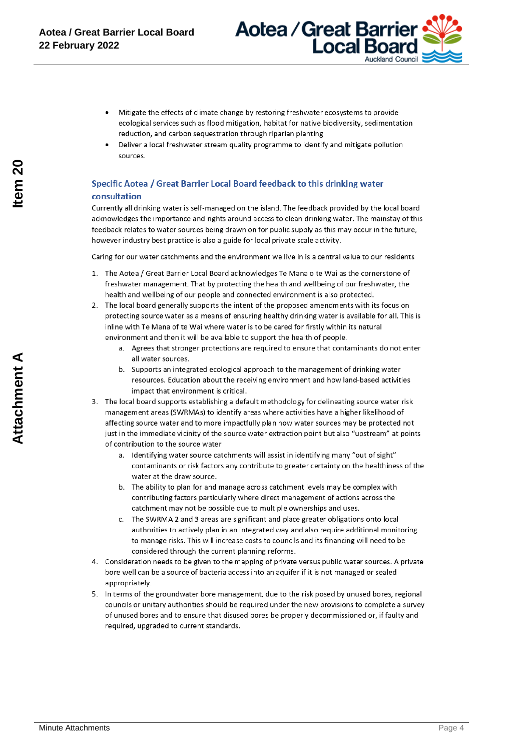

- Mitigate the effects of climate change by restoring freshwater ecosystems to provide ecological services such as flood mitigation, habitat for native biodiversity, sedimentation reduction, and carbon sequestration through riparian planting
- Deliver a local freshwater stream quality programme to identify and mitigate pollution sources.

### Specific Aotea / Great Barrier Local Board feedback to this drinking water consultation

Currently all drinking water is self-managed on the island. The feedback provided by the local board acknowledges the importance and rights around access to clean drinking water. The mainstay of this feedback relates to water sources being drawn on for public supply as this may occur in the future, however industry best practice is also a guide for local private scale activity.

Caring for our water catchments and the environment we live in is a central value to our residents

- 1. The Aotea / Great Barrier Local Board acknowledges Te Mana o te Wai as the cornerstone of freshwater management. That by protecting the health and wellbeing of our freshwater, the health and wellbeing of our people and connected environment is also protected.
- 2. The local board generally supports the intent of the proposed amendments with its focus on protecting source water as a means of ensuring healthy drinking water is available for all. This is inline with Te Mana of te Wai where water is to be cared for firstly within its natural environment and then it will be available to support the health of people.
	- a. Agrees that stronger protections are required to ensure that contaminants do not enter all water sources
	- b. Supports an integrated ecological approach to the management of drinking water resources. Education about the receiving environment and how land-based activities impact that environment is critical.
- 3. The local board supports establishing a default methodology for delineating source water risk management areas (SWRMAs) to identify areas where activities have a higher likelihood of affecting source water and to more impactfully plan how water sources may be protected not just in the immediate vicinity of the source water extraction point but also "upstream" at points of contribution to the source water
	- a. Identifying water source catchments will assist in identifying many "out of sight" contaminants or risk factors any contribute to greater certainty on the healthiness of the water at the draw source
	- b. The ability to plan for and manage across catchment levels may be complex with contributing factors particularly where direct management of actions across the catchment may not be possible due to multiple ownerships and uses.
	- c. The SWRMA 2 and 3 areas are significant and place greater obligations onto local authorities to actively plan in an integrated way and also require additional monitoring to manage risks. This will increase costs to councils and its financing will need to be considered through the current planning reforms.
- 4. Consideration needs to be given to the mapping of private versus public water sources. A private bore well can be a source of bacteria access into an aquifer if it is not managed or sealed appropriately.
- 5. In terms of the groundwater bore management, due to the risk posed by unused bores, regional councils or unitary authorities should be required under the new provisions to complete a survey of unused bores and to ensure that disused bores be properly decommissioned or, if faulty and required, upgraded to current standards.